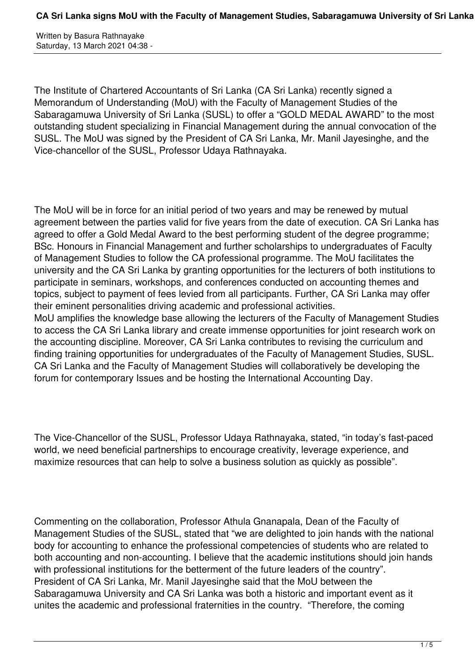Written by Basura Rathnayake Saturday, 13 March 2021 04:38 -

The Institute of Chartered Accountants of Sri Lanka (CA Sri Lanka) recently signed a Memorandum of Understanding (MoU) with the Faculty of Management Studies of the Sabaragamuwa University of Sri Lanka (SUSL) to offer a "GOLD MEDAL AWARD" to the most outstanding student specializing in Financial Management during the annual convocation of the SUSL. The MoU was signed by the President of CA Sri Lanka, Mr. Manil Jayesinghe, and the Vice-chancellor of the SUSL, Professor Udaya Rathnayaka.

The MoU will be in force for an initial period of two years and may be renewed by mutual agreement between the parties valid for five years from the date of execution. CA Sri Lanka has agreed to offer a Gold Medal Award to the best performing student of the degree programme; BSc. Honours in Financial Management and further scholarships to undergraduates of Faculty of Management Studies to follow the CA professional programme. The MoU facilitates the university and the CA Sri Lanka by granting opportunities for the lecturers of both institutions to participate in seminars, workshops, and conferences conducted on accounting themes and topics, subject to payment of fees levied from all participants. Further, CA Sri Lanka may offer their eminent personalities driving academic and professional activities. MoU amplifies the knowledge base allowing the lecturers of the Faculty of Management Studies to access the CA Sri Lanka library and create immense opportunities for joint research work on the accounting discipline. Moreover, CA Sri Lanka contributes to revising the curriculum and finding training opportunities for undergraduates of the Faculty of Management Studies, SUSL. CA Sri Lanka and the Faculty of Management Studies will collaboratively be developing the forum for contemporary Issues and be hosting the International Accounting Day.

The Vice-Chancellor of the SUSL, Professor Udaya Rathnayaka, stated, "in today's fast-paced world, we need beneficial partnerships to encourage creativity, leverage experience, and maximize resources that can help to solve a business solution as quickly as possible".

Commenting on the collaboration, Professor Athula Gnanapala, Dean of the Faculty of Management Studies of the SUSL, stated that "we are delighted to join hands with the national body for accounting to enhance the professional competencies of students who are related to both accounting and non-accounting. I believe that the academic institutions should join hands with professional institutions for the betterment of the future leaders of the country". President of CA Sri Lanka, Mr. Manil Jayesinghe said that the MoU between the Sabaragamuwa University and CA Sri Lanka was both a historic and important event as it unites the academic and professional fraternities in the country. "Therefore, the coming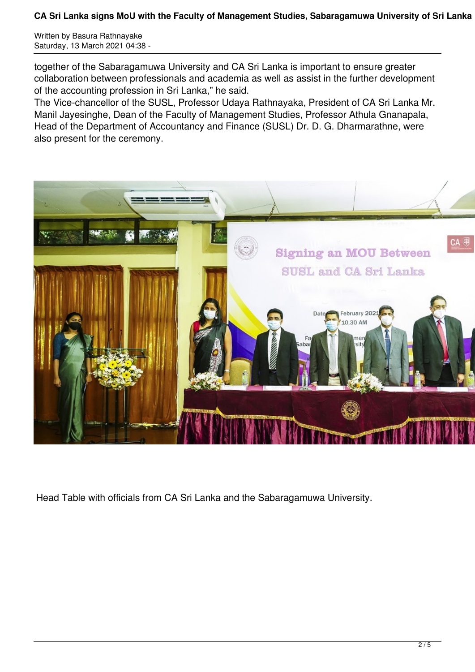Written by Basura Rathnayake Saturday, 13 March 2021 04:38 -

together of the Sabaragamuwa University and CA Sri Lanka is important to ensure greater collaboration between professionals and academia as well as assist in the further development of the accounting profession in Sri Lanka," he said.

The Vice-chancellor of the SUSL, Professor Udaya Rathnayaka, President of CA Sri Lanka Mr. Manil Jayesinghe, Dean of the Faculty of Management Studies, Professor Athula Gnanapala, Head of the Department of Accountancy and Finance (SUSL) Dr. D. G. Dharmarathne, were also present for the ceremony.



Head Table with officials from CA Sri Lanka and the Sabaragamuwa University.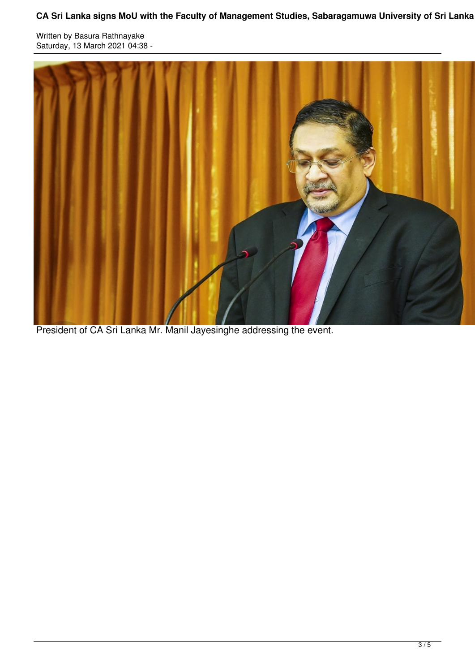Written by Basura Rathnayake Saturday, 13 March 2021 04:38 -



President of CA Sri Lanka Mr. Manil Jayesinghe addressing the event.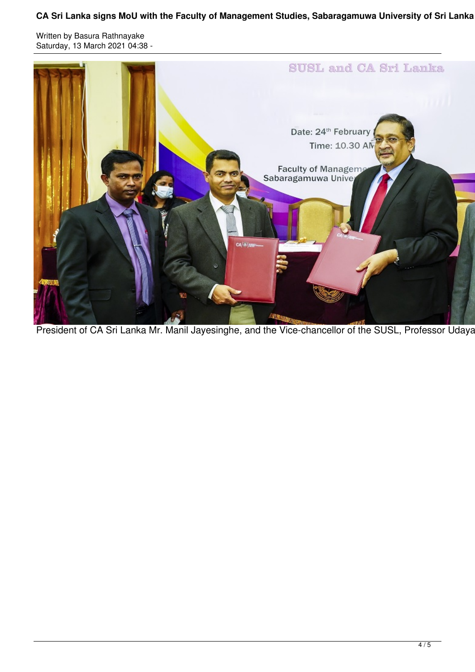Written by Basura Rathnayake Saturday, 13 March 2021 04:38 -



President of CA Sri Lanka Mr. Manil Jayesinghe, and the Vice-chancellor of the SUSL, Professor Udaya